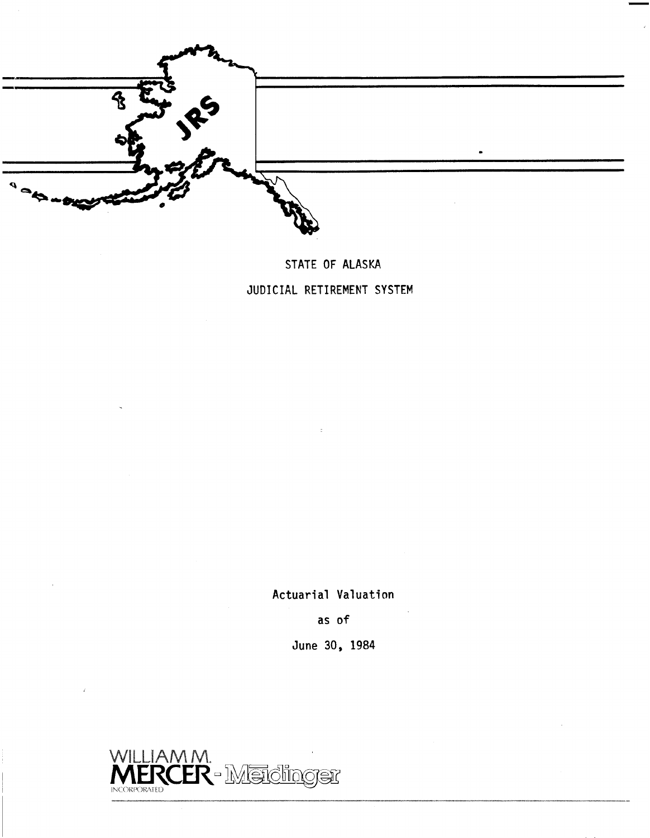

**STATE OF ALASKA JUDICIAL RETIREMENT SYSTEM** 

**Actuarial Valuation** 

**as** of

**June 30, 1984** 

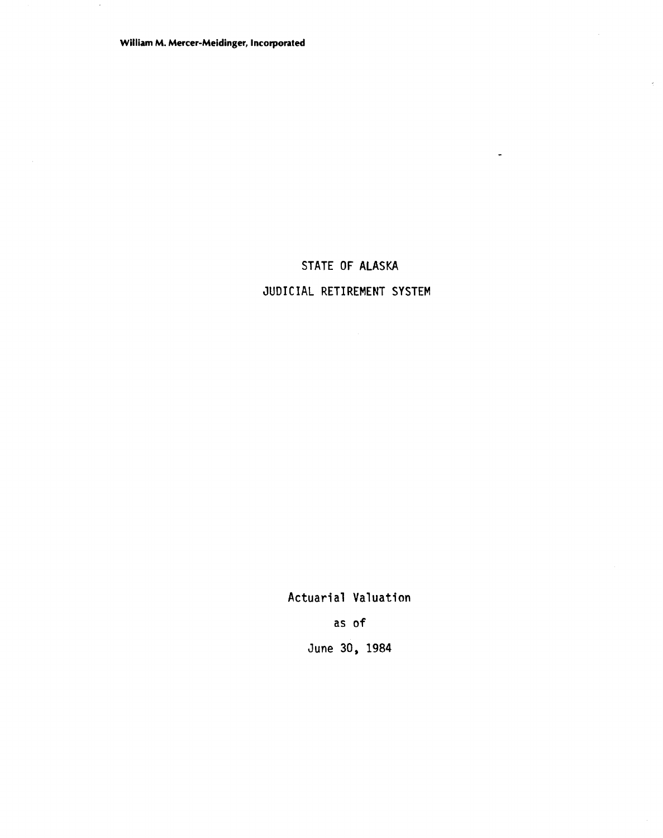**William M. Mercer-Meidinger, Incorporated** 

# STATE OF ALASKA JUDICIAL RETIREMENT SYSTEM

 $\hat{\mathbf{r}}$ 

 $\ddot{\phantom{a}}$ 

Actuarial Valuation as of

June 30, 1984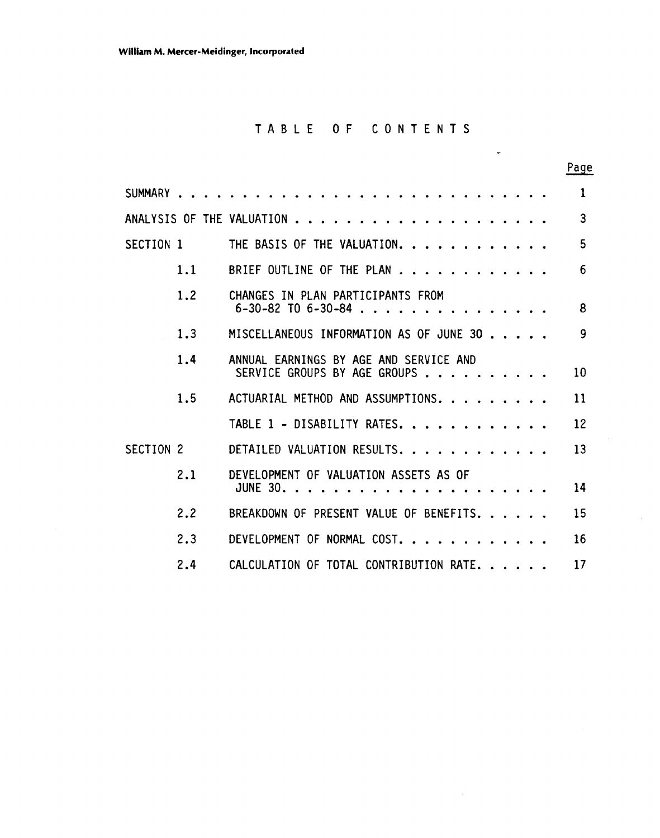# TABLE OF CONTENTS

.

|                      |     |                                                                          | Page |
|----------------------|-----|--------------------------------------------------------------------------|------|
| SUMMARY              |     |                                                                          | 1    |
|                      |     | ANALYSIS OF THE VALUATION                                                | 3    |
| SECTION 1            |     | THE BASIS OF THE VALUATION.                                              | 5    |
|                      | 1.1 | BRIEF OUTLINE OF THE PLAN                                                | 6    |
|                      | 1.2 | CHANGES IN PLAN PARTICIPANTS FROM<br>$6 - 30 - 82$ TO $6 - 30 - 84$<br>. | 8    |
|                      | 1.3 | MISCELLANEOUS INFORMATION AS OF JUNE 30                                  | 9    |
|                      | 1.4 | ANNUAL EARNINGS BY AGE AND SERVICE AND<br>SERVICE GROUPS BY AGE GROUPS   | 10   |
|                      | 1.5 | ACTUARIAL METHOD AND ASSUMPTIONS.                                        | 11   |
|                      |     | TABLE 1 - DISABILITY RATES.                                              | 12   |
| SECTION <sub>2</sub> |     | DETAILED VALUATION RESULTS.                                              | 13   |
|                      | 2.1 | DEVELOPMENT OF VALUATION ASSETS AS OF<br><b>JUNE 30. .</b>               | 14   |
|                      | 2.2 | BREAKDOWN OF PRESENT VALUE OF BENEFITS.                                  | 15   |
|                      | 2.3 | DEVELOPMENT OF NORMAL COST.                                              | 16   |
|                      | 2.4 | CALCULATION OF TOTAL CONTRIBUTION RATE.                                  | 17   |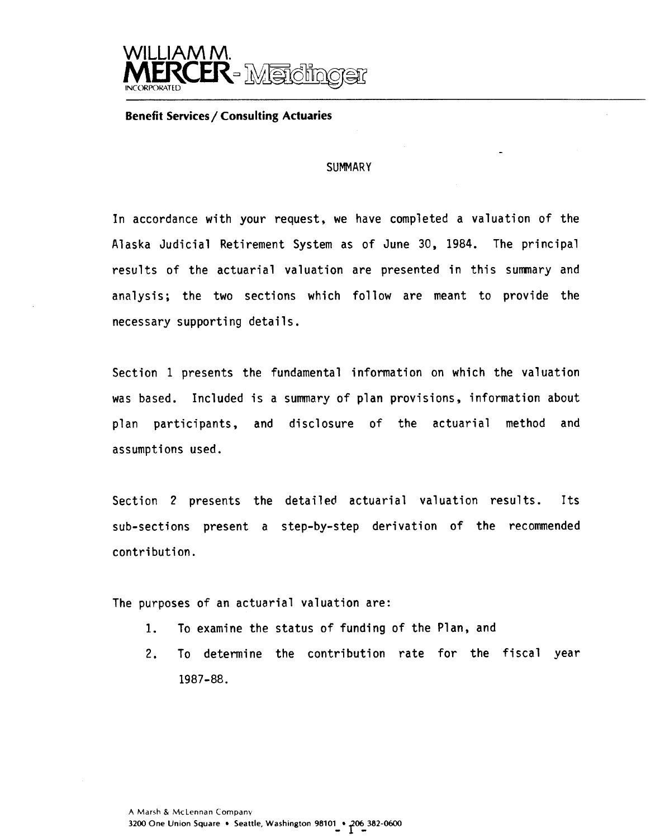

#### **Benefit Services/ Consulting Actuaries**

#### **SUMMARY**

-

In accordance with your request, we have completed a valuation of the Alaska Judicial Retirement System as of June 30, 1984. The principal results of the actuarial valuation are presented in this sumnary and analysis; the two sections which follow are meant to provide the necessary supporting details.

Section 1 presents the fundamental information on which the valuation was based. Included is a summary of plan provisions, information about plan participants, and disclosure of the actuarial method and assumptions used.

Section 2 presents the detailed actuarial valuation results. Its sub-sections present a step-by-step derivation of the recommended contribution.

The purposes of an actuarial valuation are:

- **1.** To examine the status of funding of the Plan, and
- 2. To determine the contribution rate for the fiscal year 1987-88.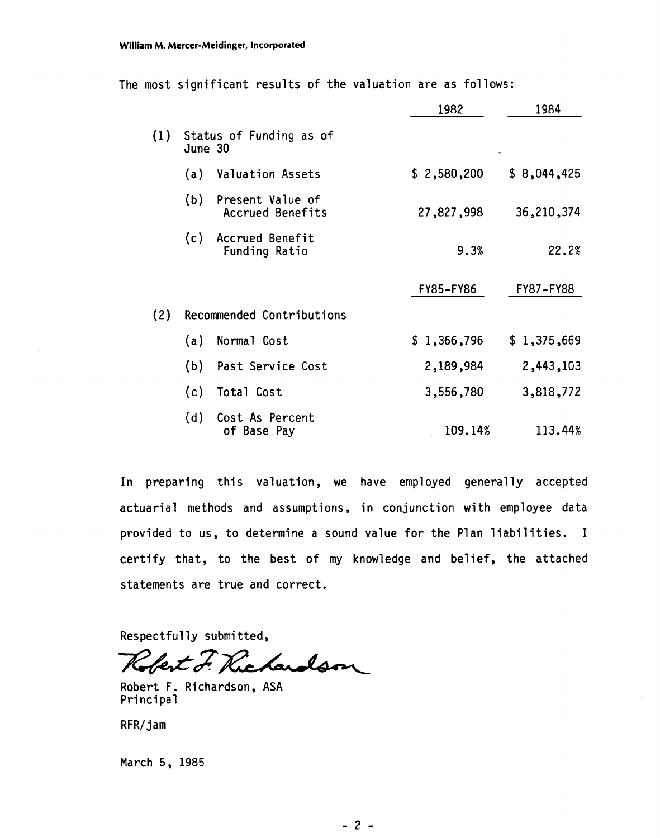| The most significant results of the valuation are as follows: |  |
|---------------------------------------------------------------|--|
|---------------------------------------------------------------|--|

|     |         |                                             | 1982        | 1984        |
|-----|---------|---------------------------------------------|-------------|-------------|
| (1) | June 30 | Status of Funding as of                     |             |             |
|     | (a)     | <b>Valuation Assets</b>                     | \$2,580,200 | \$8,044,425 |
|     | (b)     | Present Value of<br><b>Accrued Benefits</b> | 27,827,998  | 36,210,374  |
|     | (c)     | <b>Accrued Benefit</b><br>Funding Ratio     | 9.3%        | 22.2%       |
|     |         |                                             | FY85-FY86   | FY87-FY88   |
| (2) |         | Recommended Contributions                   |             |             |
|     | (a)     | Normal Cost                                 | \$1,366,796 | \$1,375,669 |
|     | (b)     | Past Service Cost                           | 2,189,984   | 2,443,103   |
|     | (c)     | Total Cost                                  | 3,556,780   | 3,818,772   |
|     | (d)     | Cost As Percent<br>of Base Pay              | 109.14%     | 113.44%     |

In preparing this valuation, we have employed generally accepted actuarial methods and assumptions, in conjunction with employee data provided to us, to determine a sound value for the Plan liabilities. I certify that, to the best of my knowledge and belief, the attached statements are true and correct.

Respectful ly submitted,

Robert F. Richardson

Robert F. Richardson, ASA Principal

RFR/ jam

March 5, 1985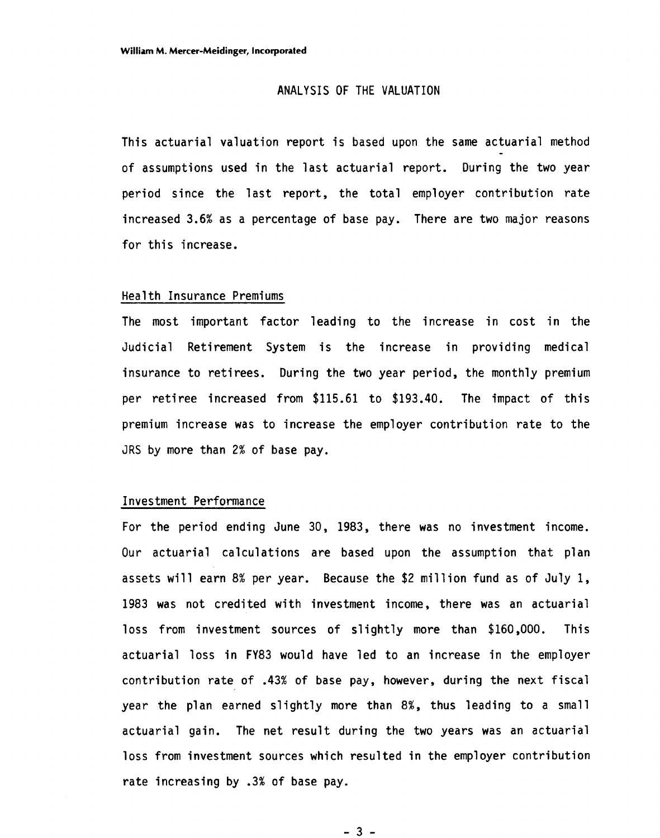### ANALYSIS OF THE VALUATION

This actuarial valuation report is based upon the same actuarial method of assumptions used in the last actuarial report. During the two year period since the last report, the total employer contribution rate increased 3.6% as a percentage of base pay. There are two major reasons for this increase.

#### Health Insurance Premiums

The most important factor leading to the increase in cost in the Judicial Retirement System is the increase in providing medical insurance to retirees. During the two year period, the monthly premium per retiree increased from \$115.61 to \$193.40. The impact of this premium increase was to increase the employer contribution rate to the JRS by more than 2% of base pay.

### Investment Performance

For the period ending June 30, 1983, there was no investment income. Our actuarial calculations are based upon the assumption that plan assets will earn 8% per year. Because the \$2 million fund as of July 1, 1983 was not credited with investment income, there was an actuarial loss from investment sources of slightly more than \$160,000. This actuarial loss in FY83 would have led to an increase in the employer contribution rate of .43% of base pay, however, during the next fiscal year the plan earned slightly more than 8%, thus leading to a small actuarial gain. The net result during the two years was an actuarial loss from investment sources which resulted in the employer contribution rate increasing by .3% of base pay.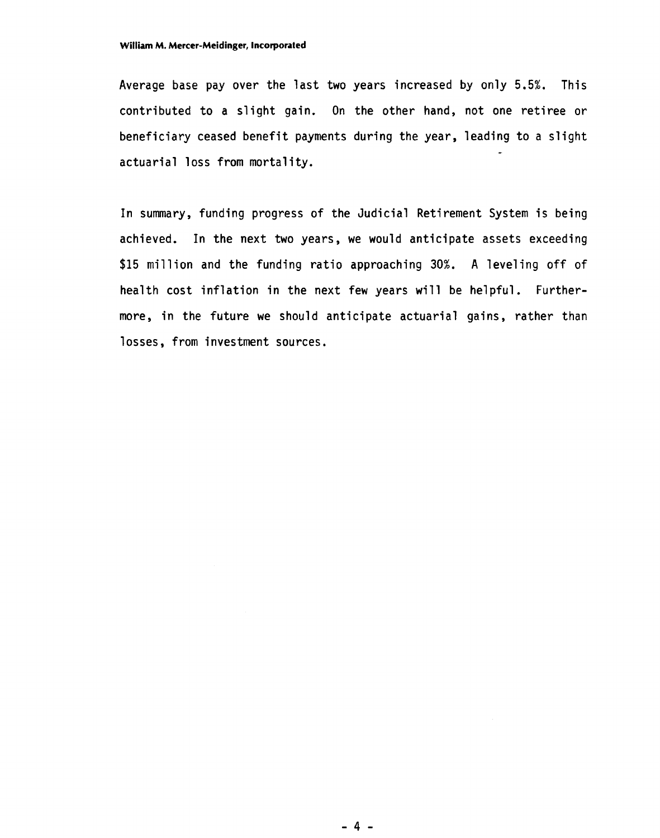Average base pay over the last two years increased by only 5.5%. This contributed to a slight gain. On the other hand, not one retiree or beneficiary ceased benefit payments during the year, leading to a slight actuarial loss from mortality.

In summary, funding progress of the Judicial Retirement System is being achieved. In the next two years, we would anticipate assets exceeding \$15 million and the funding ratio approaching 30%. A leveling off of health cost inflation in the next few years will be helpful. Furthermore, in the future we should anticipate actuarial gains, rather than losses, from investment sources.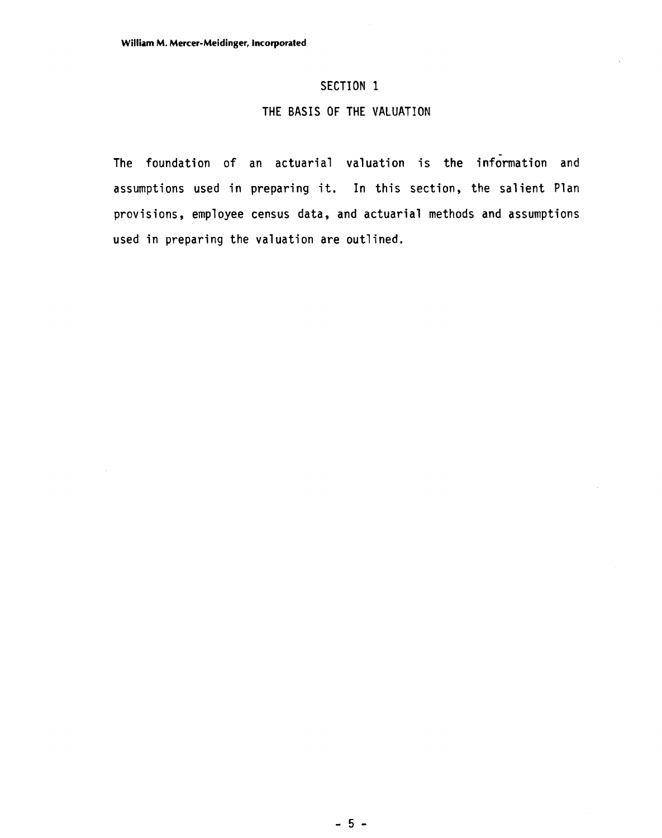### **SECTION 1**

### **THE BASIS OF THE VALUATION**

**The foundation of an actuarial valuation is the information and assumptions used in preparing it. In this section, the salient Plan provisions, employee census data, and actuarial methods and assumptions used in preparing the valuation are outlined.**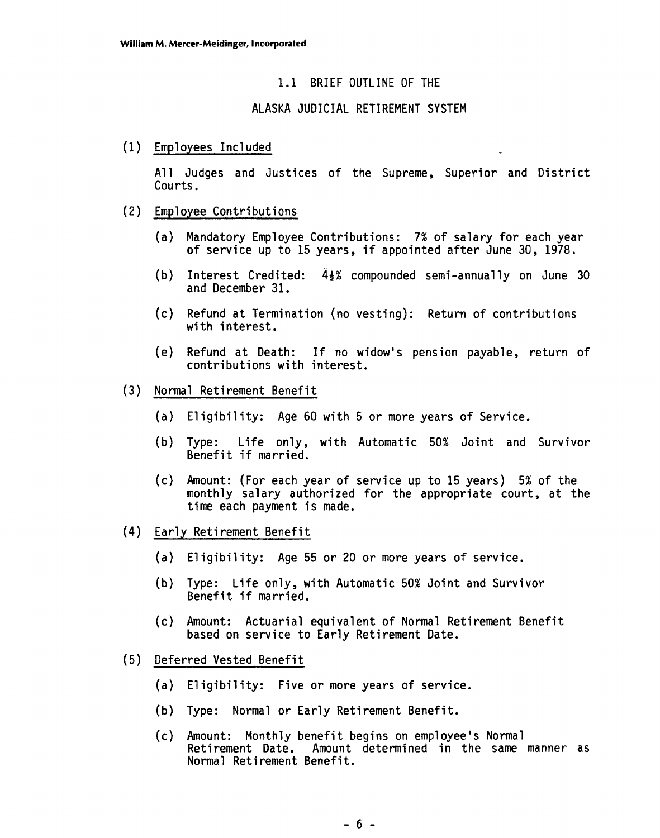### 1.1 BRIEF OUTLINE OF THE

### ALASKA JUDICIAL RETIREMENT SYSTEM

(1) Employees Included

All Judges and Justices of the Supreme, Superior and District

- Courts.<br>(2) Employee Contributions
	- (a) Mandatory Employee Contributions: **7%** of salary for each year of service up to 15 years, if appointed after June 30, 1978.
	- (b) Interest Credited:  $4\frac{1}{2}\%$  compounded semi-annually on June 30 and December 31.
	- (c) Refund at Termination (no vesting): Return of contributions with interest.
	- (e) Refund at Death: If no widow's pension payable, return of contributions with interest.
- (3) Normal Reti rement Benefit
	- (a) Eligibility: Age 60 with 5 or more years of Service.
	- (b) Type: Life only, with Automatic 50% Joint and Survivor Benefit if married.
	- (c) Amount: (For each year of service up to 15 years) 5% of the monthly salary authorized for the appropriate court, at the time each payment is made.
- (4) Early Reti rement Benefit
	- (a) Eligibility: Age 55 or 20 or more years of service.
	- (b) Type: Life only, with Automatic 50% Joint and Survivor Benefit if married.
	- (c) Amount: Actuarial equivalent of Normal Retirement Benefit based on service to Early Retirement Date.
- (5) Deferred Vested Benefit
	- (a) Eligibility: Five or more years of service.
	- (b) Type: Normal or Early Retirement Benefit.
	- (c) Amount: Monthly benefit begins on employee's Normal Retirement Date. Amount determined in the same manner as Normal Retirement Benefit.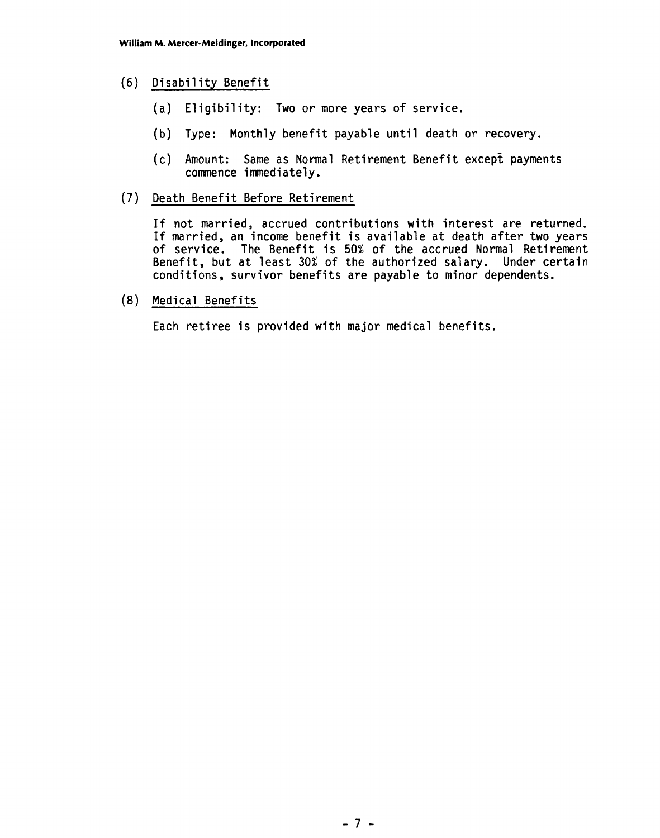### (6) Disability Benefit

- (a) Eligibility: Two or more years of service.
- (b) Type: Monthly benefit payable until death or recovery.
- (c) Amount: Same as Normal Retirement Benefit except payments commence immediately.
- **(7)** Death Benefit Before Retirement

If not married, accrued contributions with interest are returned. If married, an income benefit is available at death after two years of service. The Benefit is 50% of the accrued Normal Retirement Benefit, but at least 30% of the authorized salary. Under certain conditions, survivor benefits are payable to minor dependents.

(8) Medical Benefits

Each retiree is provided with major medical benefits.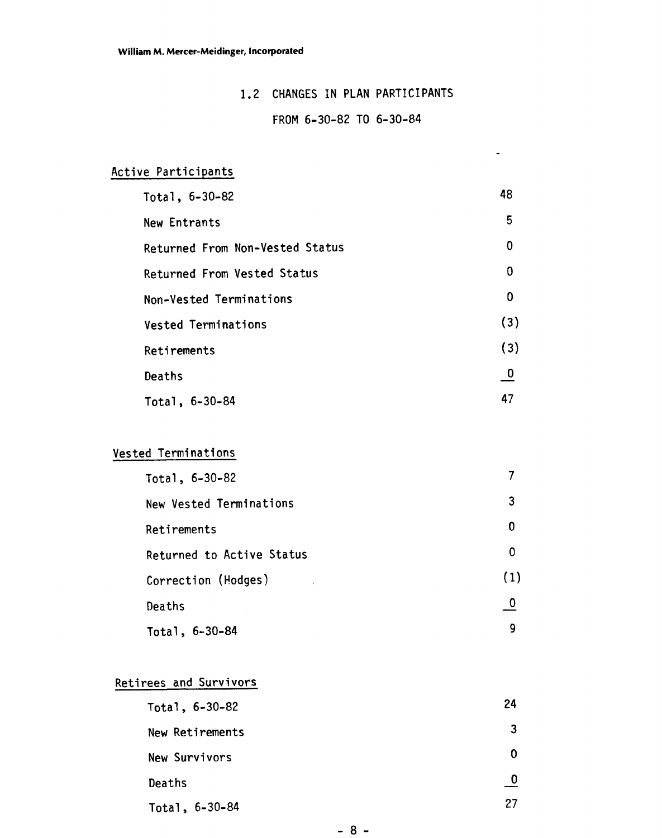## 1.2 CHANGES IN PLAN PARTICIPANTS

### FROM 6-30-82 TO 6-30-84

 $\bullet$ 

# Active Participants

| Total, $6-30-82$                | 48                      |
|---------------------------------|-------------------------|
| New Entrants                    | 5                       |
| Returned From Non-Vested Status | 0                       |
| Returned From Vested Status     | 0                       |
| Non-Vested Terminations         | 0                       |
| Vested Terminations             | (3)                     |
| Retirements                     | (3)                     |
| Deaths                          | $\overline{\mathsf{o}}$ |
| Total, 6-30-84                  | 47                      |

# Vested Terminations

| Total, 6-30-82            |             |
|---------------------------|-------------|
| New Vested Terminations   | 3           |
| Retirements               | 0           |
| Returned to Active Status | Ω           |
| Correction (Hodges)       | (1)         |
| Deaths                    | $\mathbf 0$ |
| Total, 6-30-84            | 9           |

# Retirees and Survivors

| Total, 6-30-82   | 24 |
|------------------|----|
| New Retirements  | 3  |
| New Survivors    | O  |
| Deaths           |    |
| Total, $6-30-84$ | 27 |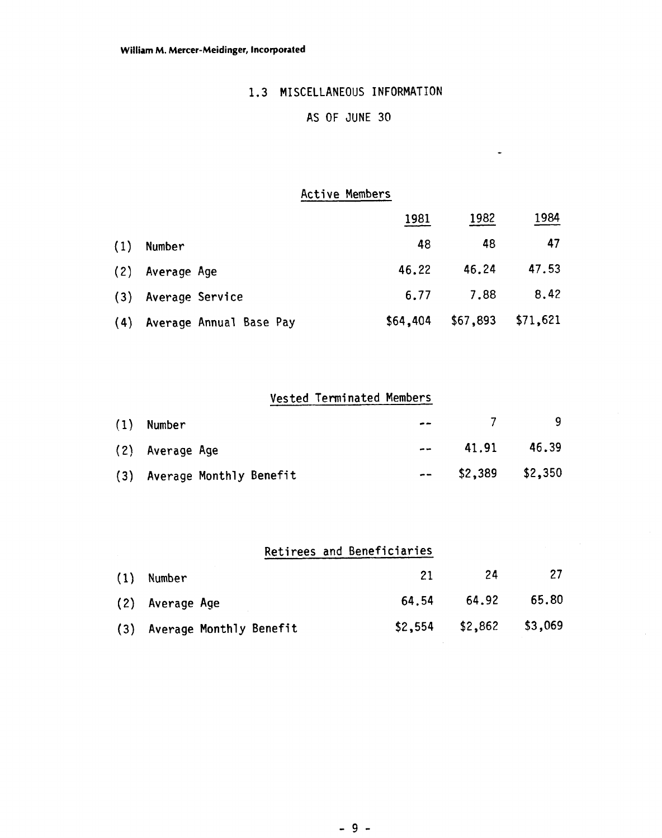## 1.3 MISCELLANEOUS INFORMATION

# AS OF JUNE 30

 $\bullet$ 

### Active Members

|     |                         | 1981     | 1982     | 1984     |
|-----|-------------------------|----------|----------|----------|
| (1) | Number                  | 48       | 48       | 47       |
|     | (2) Average Age         | 46.22    | 46.24    | 47.53    |
|     | (3) Average Service     | 6.77     | 7.88     | 8,42     |
| (4) | Average Annual Base Pay | \$64,404 | \$67,893 | \$71,621 |

# Vested Terminated Members

| $(1)$ Number                | $- -$ | -7                   |       |
|-----------------------------|-------|----------------------|-------|
| (2) Average Age             | $- -$ | 41.91                | 46.39 |
| (3) Average Monthly Benefit |       | $--$ \$2,389 \$2,350 |       |

|     |                             | Retirees and Beneficiaries |                            |       |
|-----|-----------------------------|----------------------------|----------------------------|-------|
| (1) | Number                      | 21                         | -24                        | 27    |
|     | (2) Average Age             | 64.54                      | 64.92                      | 65.80 |
|     | (3) Average Monthly Benefit |                            | $$2,554$ $$2,862$ $$3,069$ |       |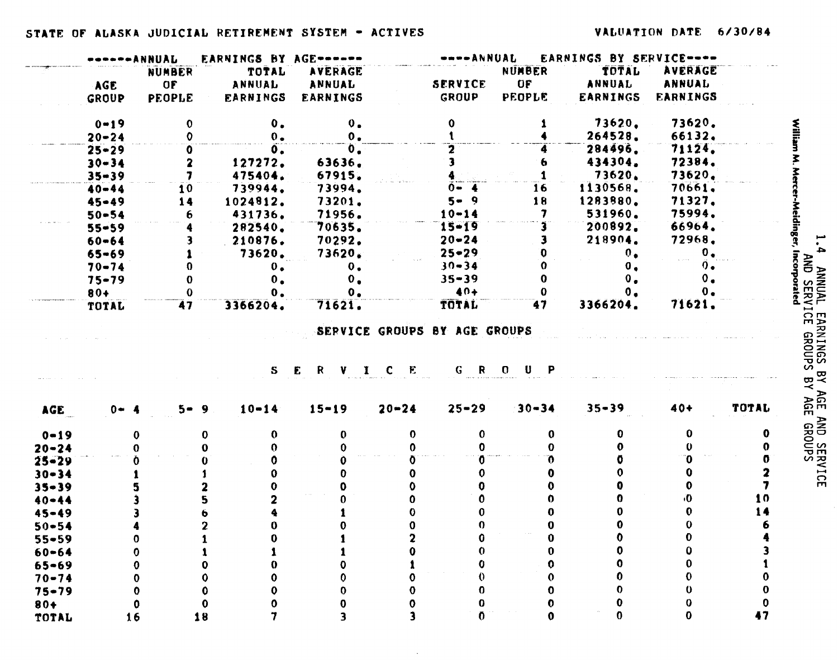|                                                                                                                                                                                       |           | ANNUAL                  | <b>EARNINGS BY AGE------</b> |                 |                              | ----ANNUAL      |                           | EARNINGS BY SERVICE---- |                 |            |
|---------------------------------------------------------------------------------------------------------------------------------------------------------------------------------------|-----------|-------------------------|------------------------------|-----------------|------------------------------|-----------------|---------------------------|-------------------------|-----------------|------------|
|                                                                                                                                                                                       |           | <b>NUMBER</b>           | TOTAL                        | <b>AVERAGE</b>  |                              |                 | NUMBER                    | TOTAL                   | <b>AVERAGE</b>  |            |
|                                                                                                                                                                                       | AGE       | OF                      | ANNUAL                       | ANNUAL          |                              | <b>SERVICE</b>  | OF                        | ANNUAL                  | <b>ANNUAL</b>   |            |
|                                                                                                                                                                                       | GROUP     | <b>PEOPLE</b>           | <b>EARNINGS</b>              | <b>EARNINGS</b> |                              | GROUP           | <b>PEOPLE</b>             | EARNINGS                | <b>EARNINGS</b> |            |
|                                                                                                                                                                                       | $0 - 19$  | $\mathbf 0$             | $\mathbf{0}$ .               | 0 <sub>o</sub>  |                              | 0               |                           | 73620.                  | 73620.          |            |
|                                                                                                                                                                                       | $20 - 24$ | $\mathbf 0$             | $0 -$                        | $0 -$           |                              |                 |                           | 264528.                 | 66132.          |            |
|                                                                                                                                                                                       | $25 - 29$ | 0                       | 0.                           | $\mathbf{0}$ .  |                              | 2               |                           | 284496.                 | 71124.          |            |
|                                                                                                                                                                                       | $30 - 34$ | $\overline{\mathbf{z}}$ | 127272.                      | 63636.          |                              | 3               |                           | 434304.                 | 72384.          |            |
|                                                                                                                                                                                       | $35 - 39$ | 7                       | 475404.                      | 67915.          |                              |                 |                           | 73620.                  | 73620.          |            |
|                                                                                                                                                                                       | $40 - 44$ | 10                      | 739944.                      | 73994.          |                              | $0 - 4$         | 16                        | 1130568.                | 70661.          |            |
|                                                                                                                                                                                       | $45 - 49$ | 14                      | 1024812.                     | 73201.          |                              | $5 - 9$         | 18                        | 1283880.                | 71327.          |            |
|                                                                                                                                                                                       | $50 - 54$ | 6                       | 431736.                      | 71956.          |                              | $10 - 14$       | 7                         | 531960.                 | 75994.          |            |
|                                                                                                                                                                                       | $55 - 59$ |                         | 282540.                      | 70635.          |                              | $15 - 19$       |                           | 200892.                 | 66964.          |            |
|                                                                                                                                                                                       | $60 - 64$ | 3                       | 210876.                      | 70292.          |                              | $20 - 24$       | 3                         | 218904.                 | 72968.          |            |
|                                                                                                                                                                                       | $65 - 69$ |                         | 73620.                       | 73620.          |                              | $25 - 29$       | o                         | 0 <sub>1</sub>          | $\mathbf{0}$ .  |            |
|                                                                                                                                                                                       | $70 - 74$ | 0                       | 0.                           | 0.              |                              | $30 - 34$       | 0                         | $\mathbf{0}$ .          | $\mathbf{0}$ .  |            |
|                                                                                                                                                                                       | $75 - 79$ | $\bf{0}$                | $\mathbf{0}$ .               | $\mathbf{0}$ .  |                              | $35 - 39$       | $\bf{0}$                  | 0 <sub>o</sub>          | $\mathbf{0}$ .  |            |
|                                                                                                                                                                                       | $80+$     | $\Omega$                | $\mathbf{0}$ .               | $\mathbf{0}$ .  |                              | $40+$           | 0                         | $\mathbf{0}$ .          | $\mathbf{0}$ .  |            |
|                                                                                                                                                                                       | TOTAL     | 47                      | 3366204.                     | 71621.          |                              | TOTAL           | 47                        | 3366204.                | 71621.          |            |
|                                                                                                                                                                                       |           |                         |                              |                 | SERVICE GROUPS BY AGE GROUPS |                 |                           |                         |                 |            |
|                                                                                                                                                                                       |           |                         | S                            | E R V I C E     |                              | GR <sub>O</sub> | $\mathbf{U}$ $\mathbf{P}$ |                         |                 |            |
|                                                                                                                                                                                       | $0 - 4$   | $5 - 9$                 | $10 - 14$                    | $15 - 19$       | $20 - 24$                    | $25 - 29$       | $30 - 34$                 | $35 - 39$               | $40+$           |            |
|                                                                                                                                                                                       |           | 0                       | 0<br>$\bf{0}$                | 0.              | $\mathbf{0}$                 | 0               | $\mathbf{0}$              | 0                       | 0               |            |
|                                                                                                                                                                                       |           |                         | 0                            |                 | n.                           |                 | 0                         | 0                       | 0               |            |
|                                                                                                                                                                                       |           |                         |                              |                 |                              |                 |                           |                         | 'N              | TOTAL<br>o |
|                                                                                                                                                                                       |           |                         |                              |                 | 0                            |                 |                           |                         | 0               |            |
|                                                                                                                                                                                       |           |                         |                              |                 |                              |                 |                           |                         |                 |            |
|                                                                                                                                                                                       |           |                         |                              |                 |                              |                 |                           |                         | ٠O              |            |
|                                                                                                                                                                                       |           |                         |                              |                 |                              |                 |                           |                         |                 |            |
|                                                                                                                                                                                       |           |                         |                              |                 |                              |                 |                           |                         |                 |            |
|                                                                                                                                                                                       |           |                         |                              |                 |                              |                 | 0                         |                         | 0               |            |
|                                                                                                                                                                                       |           |                         |                              |                 |                              |                 |                           |                         | 0               |            |
|                                                                                                                                                                                       |           |                         |                              |                 |                              |                 | 0                         |                         | 0               |            |
|                                                                                                                                                                                       |           |                         |                              |                 | 0                            |                 | 0                         |                         | 0               |            |
|                                                                                                                                                                                       |           |                         |                              |                 | 0                            |                 | 0                         |                         | o               |            |
| AGE.<br>$0 - 19$<br>$20 - 24$<br>$25 - 29$<br>$30 - 34$<br>$35 - 39$<br>$40 - 44$<br>$45 - 49$<br>$50 - 54$<br>$55 - 59$<br>$60 - 64$<br>$65 - 69$<br>$70 - 74$<br>$75 - 79$<br>$80+$ |           |                         | 0                            |                 |                              |                 | 0                         |                         | 0               | 10         |

 $\sim$ 

 $1.4$ **ANNUAL EARNINGS BY AGE AND SERVICE<br>AND SERVICE GROUPS BY AGE GROUPS**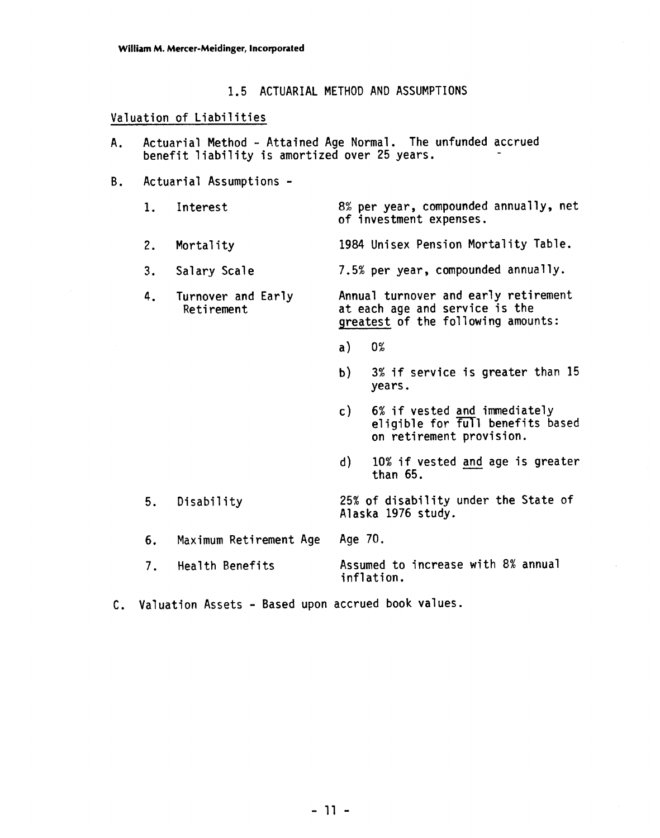### 1.5 ACTUARIAL METHOD AND ASSUMPTIONS

### Valuation of Liabilities

- A. Actuarial Method Attained Age Normal. The unfunded accrued benefit liability is amortized over 25 years.
- B. Actuarial Assumptions
	- 1. Interest 8% per year, compounded annually, net of investment expenses.
	- 2. Mortality 1984 Unisex Pension Mortality Table.
	- 3. Sa1 ary Scale 7.5% per year, compounded annual 1 **<sup>y</sup>**.
	- 4. Turnover and Early Annual turnover and early retirement<br>Retirement at each age and service is the qreatest of the following amounts:
		- $a)$  $0%$
		- b) 3% if service is greater than 15 years.
		- c) 6% if vested and immediately eligible for full benefits based on retirement provision.
		- d) 10% if vested and age is greater than 65.
	- 5. Disability 25% of disability under the State of Alaska 1976 study.
	- 6. Maximum Retirement Age Age 70.
	- 7. Health Benefits Assumed to increase with 8% annual inflation.
- **C.** Valuation Assets Based upon accrued book values.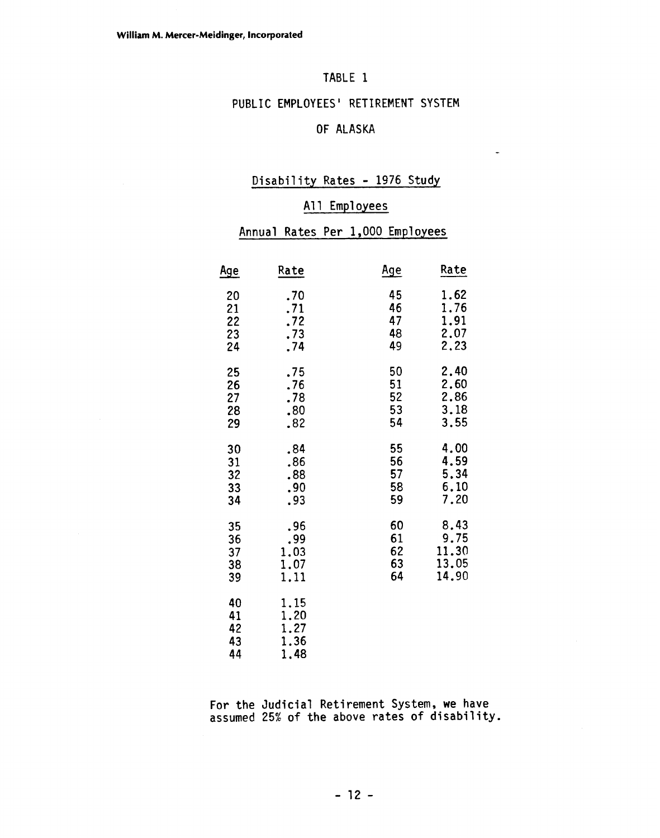# TABLE 1

# PUBLIC EMPLOYEES' RETIREMENT SYSTEM

# OF ALASKA

 $\ddot{\phantom{a}}$ 

### Disability Rates - 1976 Study

### All Employees

#### Annual Rates Per 1,000 Employees

|                            | A11                                  | Employees                        |       |  |
|----------------------------|--------------------------------------|----------------------------------|-------|--|
|                            |                                      | Annual Rates Per 1,000 Employees |       |  |
| <u>Age</u>                 | Rate                                 | <u>Age</u>                       | Rate  |  |
| 20                         | .70                                  | 45                               | 1.62  |  |
| 21                         | .71                                  | 46                               | 1.76  |  |
| 22                         | .72                                  | 47                               | 1.91  |  |
| 23                         | .73                                  | 48                               | 2.07  |  |
| 24                         | .74                                  | 49                               | 2.23  |  |
| 25                         | .75                                  | 50                               | 2.40  |  |
| 26                         | .76                                  | 51                               | 2.60  |  |
| 27                         | .78                                  | 52                               | 2.86  |  |
| 28                         | .80                                  | 53                               | 3.18  |  |
| 29                         | .82                                  | 54                               | 3.55  |  |
| 30                         | .84                                  | 55                               | 4.00  |  |
| 31                         | .86                                  | 56                               | 4.59  |  |
| 32                         | .88                                  | 57                               | 5.34  |  |
| 33                         | .90                                  | 58                               | 6.10  |  |
| 34                         | .93                                  | 59                               | 7.20  |  |
| 35                         | .96                                  | 60                               | 8.43  |  |
| 36                         | .99                                  | 61                               | 9.75  |  |
| 37                         | 1.03                                 | 62                               | 11.30 |  |
| 38                         | 1.07                                 | 63                               | 13.05 |  |
| 39                         | 1.11                                 | 64                               | 14.90 |  |
| 40<br>41<br>42<br>43<br>44 | 1.15<br>1.20<br>1.27<br>1.36<br>1,48 |                                  |       |  |

For the Judicial Retirement System, we have assumed 25% of the above rates of disability.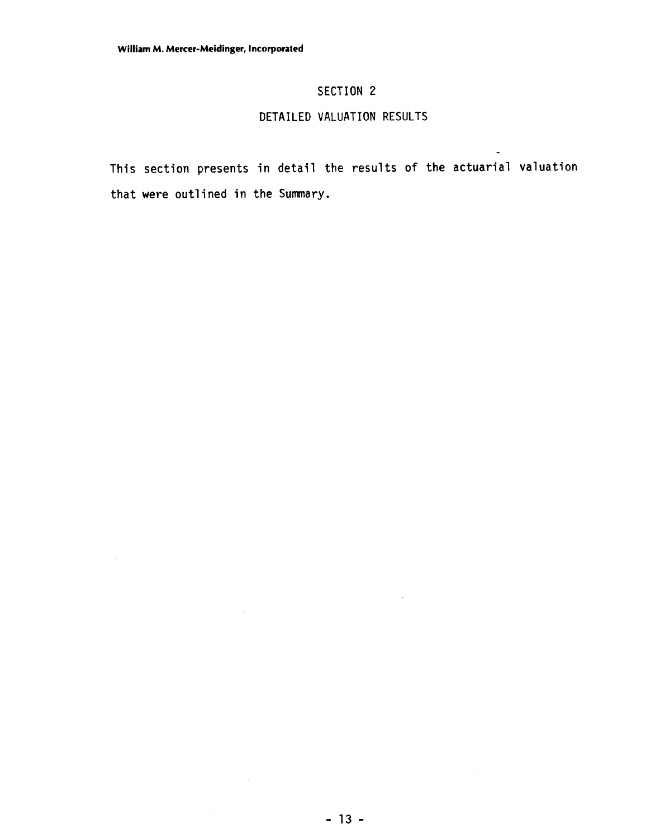### **SECTION 2**

### **DETAILED VALUATION RESULTS**

**This section presents in detail the results of the actuarial valuation that were outlined in the Summary.** 

-

 $\bar{z}$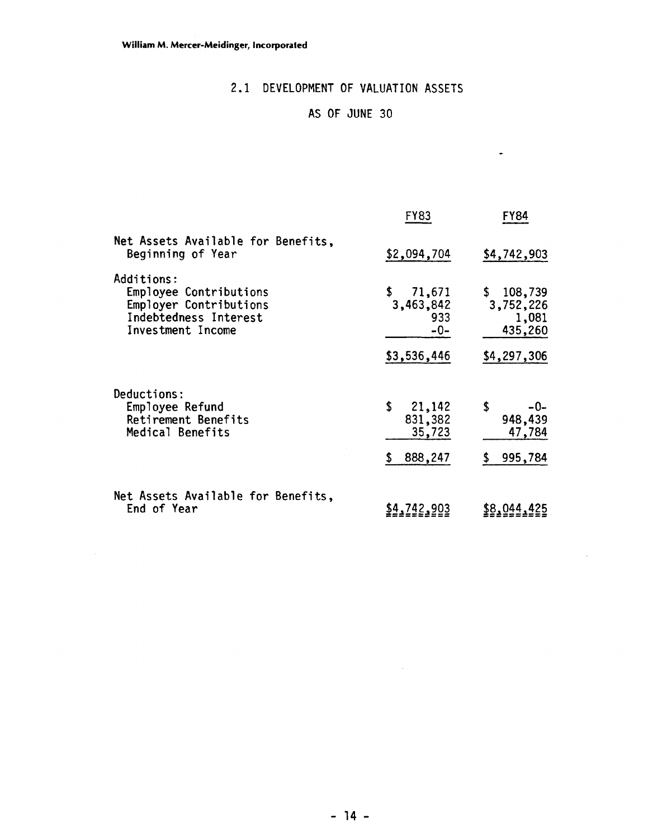# 2.1 DEVELOPMENT OF VALUATION ASSETS

# AS OF JUNE 30

 $\bullet$ 

 $\sim$   $\sim$ 

|                                                                                                              | <b>FY83</b>                                              | <b>FY84</b>                                               |
|--------------------------------------------------------------------------------------------------------------|----------------------------------------------------------|-----------------------------------------------------------|
| Net Assets Available for Benefits,<br>Beginning of Year                                                      | \$2,094,704                                              | \$4,742,903                                               |
| Additions:<br>Employee Contributions<br>Employer Contributions<br>Indebtedness Interest<br>Investment Income | 71,671<br>\$<br>3,463,842<br>933<br>$-0-$<br>\$3,536,446 | \$108,739<br>3,752,226<br>1,081<br>435,260<br>\$4,297,306 |
| Deductions:<br>Employee Refund<br>Retirement Benefits<br>Medical Benefits                                    | \$<br>21,142<br>831,382<br>35,723<br>888,247<br>S        | \$<br>$-0-$<br>948,439<br>47,784<br>995,784<br>S.         |
| Net Assets Available for Benefits,<br>End of Year                                                            | \$4,742,903                                              | \$8,044,425                                               |

 $\mathcal{L}^{\text{max}}_{\text{max}}$  and  $\mathcal{L}^{\text{max}}_{\text{max}}$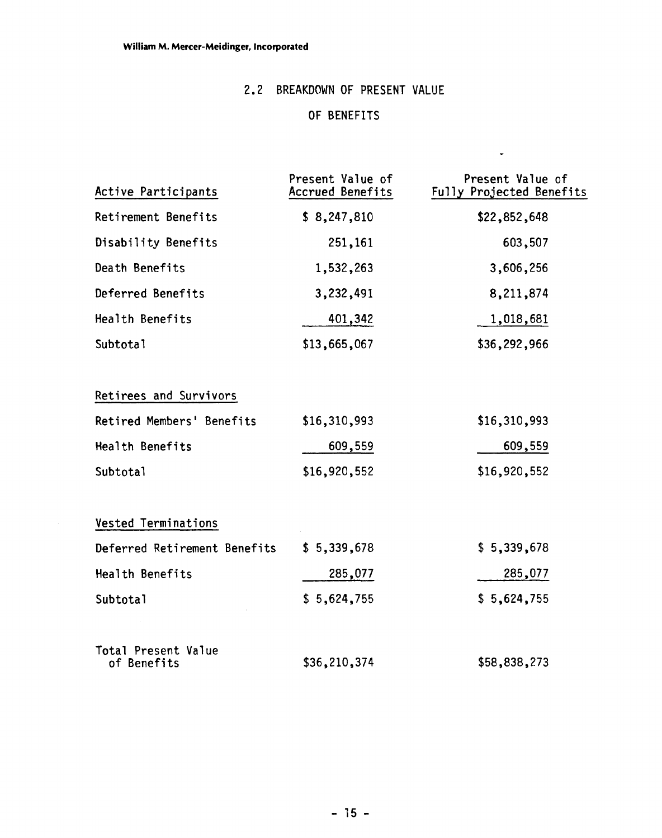# 2.2 BREAKDOWN OF PRESENT VALUE

# OF BENEFITS

 $\blacksquare$ 

| Active Participants                | Present Value of<br>Accrued Benefits | Present Value of<br>Fully Projected Benefits |
|------------------------------------|--------------------------------------|----------------------------------------------|
| Retirement Benefits                | \$8,247,810                          | \$22,852,648                                 |
| Disability Benefits                | 251,161                              | 603,507                                      |
| Death Benefits                     | 1,532,263                            | 3,606,256                                    |
| Deferred Benefits                  | 3,232,491                            | 8,211,874                                    |
| Health Benefits                    | 401,342                              | 1,018,681                                    |
| Subtotal                           | \$13,665,067                         | \$36,292,966                                 |
| Retirees and Survivors             |                                      |                                              |
| Retired Members' Benefits          | \$16,310,993                         | \$16,310,993                                 |
| Health Benefits                    | 609,559                              | 609,559                                      |
| Subtotal                           | \$16,920,552                         | \$16,920,552                                 |
| Vested Terminations                |                                      |                                              |
| Deferred Retirement Benefits       | \$5,339,678                          | \$5,339,678                                  |
| Health Benefits                    | 285,077                              | 285,077                                      |
| Subtotal                           | \$5,624,755                          | \$5,624,755                                  |
| Total Present Value<br>of Benefits | \$36,210,374                         | \$58,838,273                                 |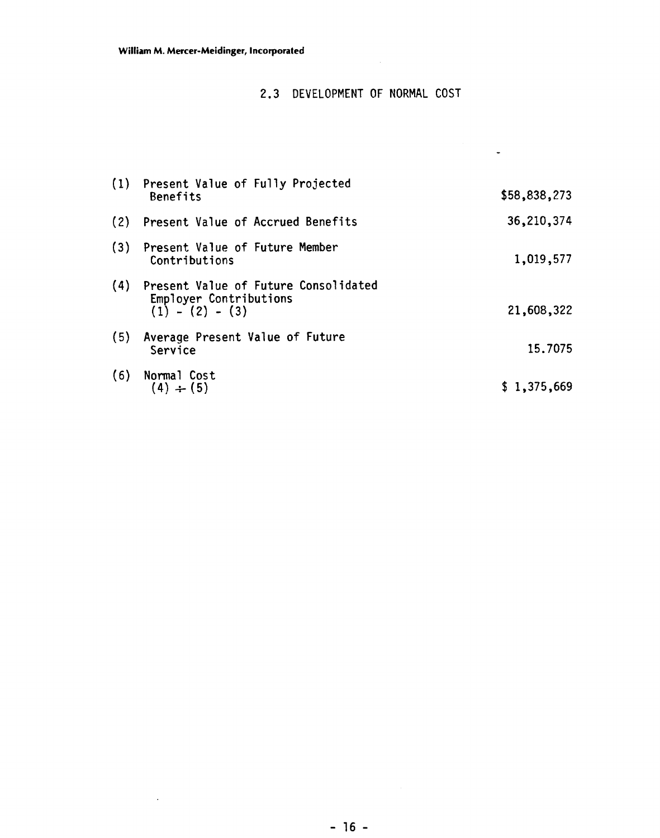# 2.3 DEVELOPMENT OF NORMAL COST

 $\sim$ 

|     | (1) Present Value of Fully Projected<br>Benefits                                        | \$58,838,273 |
|-----|-----------------------------------------------------------------------------------------|--------------|
|     | (2) Present Value of Accrued Benefits                                                   | 36,210,374   |
|     | (3) Present Value of Future Member<br>Contributions                                     | 1,019,577    |
|     | (4) Present Value of Future Consolidated<br>Employer Contributions<br>$(1) - (2) - (3)$ | 21,608,322   |
| (5) | Average Present Value of Future<br>Service                                              | 15.7075      |
| (6) | Normal Cost<br>$(4) \div (5)$                                                           | \$1,375,669  |

 $\mathcal{L}$